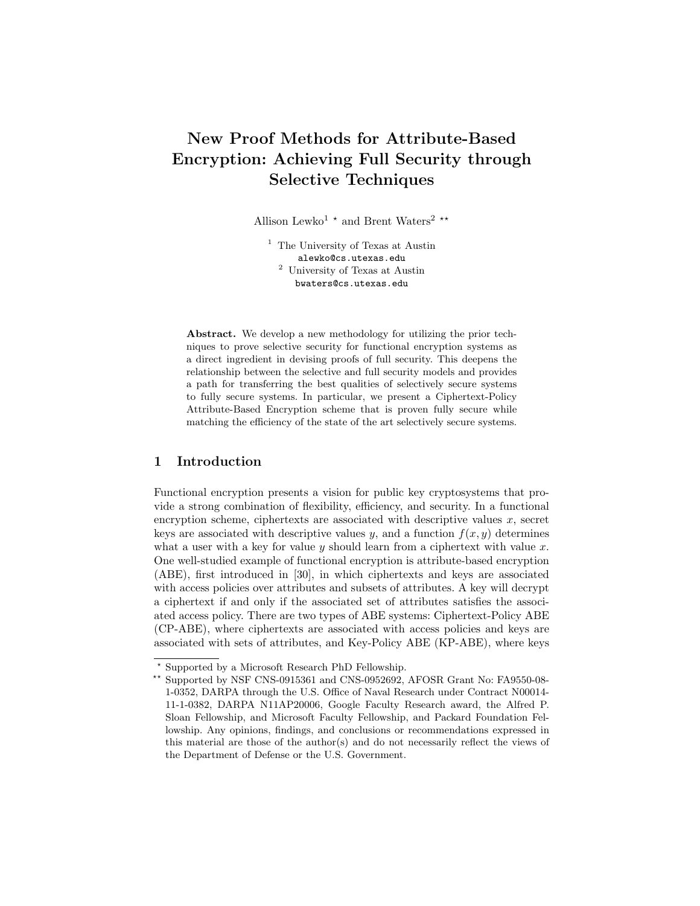# New Proof Methods for Attribute-Based Encryption: Achieving Full Security through Selective Techniques

Allison Lewko<sup>1</sup>  $\star$  and Brent Waters<sup>2</sup>  $\star\star$ 

<sup>1</sup> The University of Texas at Austin alewko@cs.utexas.edu <sup>2</sup> University of Texas at Austin bwaters@cs.utexas.edu

Abstract. We develop a new methodology for utilizing the prior techniques to prove selective security for functional encryption systems as a direct ingredient in devising proofs of full security. This deepens the relationship between the selective and full security models and provides a path for transferring the best qualities of selectively secure systems to fully secure systems. In particular, we present a Ciphertext-Policy Attribute-Based Encryption scheme that is proven fully secure while matching the efficiency of the state of the art selectively secure systems.

## 1 Introduction

Functional encryption presents a vision for public key cryptosystems that provide a strong combination of flexibility, efficiency, and security. In a functional encryption scheme, ciphertexts are associated with descriptive values  $x$ , secret keys are associated with descriptive values y, and a function  $f(x, y)$  determines what a user with a key for value  $y$  should learn from a ciphertext with value  $x$ . One well-studied example of functional encryption is attribute-based encryption (ABE), first introduced in [30], in which ciphertexts and keys are associated with access policies over attributes and subsets of attributes. A key will decrypt a ciphertext if and only if the associated set of attributes satisfies the associated access policy. There are two types of ABE systems: Ciphertext-Policy ABE (CP-ABE), where ciphertexts are associated with access policies and keys are associated with sets of attributes, and Key-Policy ABE (KP-ABE), where keys

<sup>?</sup> Supported by a Microsoft Research PhD Fellowship.

<sup>??</sup> Supported by NSF CNS-0915361 and CNS-0952692, AFOSR Grant No: FA9550-08- 1-0352, DARPA through the U.S. Office of Naval Research under Contract N00014- 11-1-0382, DARPA N11AP20006, Google Faculty Research award, the Alfred P. Sloan Fellowship, and Microsoft Faculty Fellowship, and Packard Foundation Fellowship. Any opinions, findings, and conclusions or recommendations expressed in this material are those of the author(s) and do not necessarily reflect the views of the Department of Defense or the U.S. Government.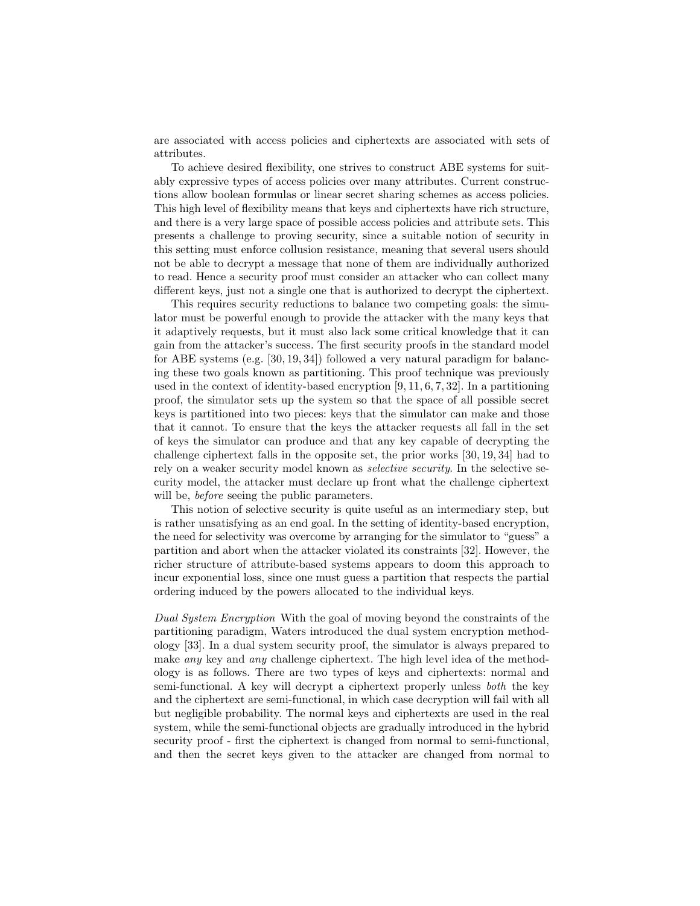are associated with access policies and ciphertexts are associated with sets of attributes.

To achieve desired flexibility, one strives to construct ABE systems for suitably expressive types of access policies over many attributes. Current constructions allow boolean formulas or linear secret sharing schemes as access policies. This high level of flexibility means that keys and ciphertexts have rich structure, and there is a very large space of possible access policies and attribute sets. This presents a challenge to proving security, since a suitable notion of security in this setting must enforce collusion resistance, meaning that several users should not be able to decrypt a message that none of them are individually authorized to read. Hence a security proof must consider an attacker who can collect many different keys, just not a single one that is authorized to decrypt the ciphertext.

This requires security reductions to balance two competing goals: the simulator must be powerful enough to provide the attacker with the many keys that it adaptively requests, but it must also lack some critical knowledge that it can gain from the attacker's success. The first security proofs in the standard model for ABE systems (e.g. [30, 19, 34]) followed a very natural paradigm for balancing these two goals known as partitioning. This proof technique was previously used in the context of identity-based encryption [9, 11, 6, 7, 32]. In a partitioning proof, the simulator sets up the system so that the space of all possible secret keys is partitioned into two pieces: keys that the simulator can make and those that it cannot. To ensure that the keys the attacker requests all fall in the set of keys the simulator can produce and that any key capable of decrypting the challenge ciphertext falls in the opposite set, the prior works [30, 19, 34] had to rely on a weaker security model known as selective security. In the selective security model, the attacker must declare up front what the challenge ciphertext will be, *before* seeing the public parameters.

This notion of selective security is quite useful as an intermediary step, but is rather unsatisfying as an end goal. In the setting of identity-based encryption, the need for selectivity was overcome by arranging for the simulator to "guess" a partition and abort when the attacker violated its constraints [32]. However, the richer structure of attribute-based systems appears to doom this approach to incur exponential loss, since one must guess a partition that respects the partial ordering induced by the powers allocated to the individual keys.

Dual System Encryption With the goal of moving beyond the constraints of the partitioning paradigm, Waters introduced the dual system encryption methodology [33]. In a dual system security proof, the simulator is always prepared to make any key and any challenge ciphertext. The high level idea of the methodology is as follows. There are two types of keys and ciphertexts: normal and semi-functional. A key will decrypt a ciphertext properly unless both the key and the ciphertext are semi-functional, in which case decryption will fail with all but negligible probability. The normal keys and ciphertexts are used in the real system, while the semi-functional objects are gradually introduced in the hybrid security proof - first the ciphertext is changed from normal to semi-functional, and then the secret keys given to the attacker are changed from normal to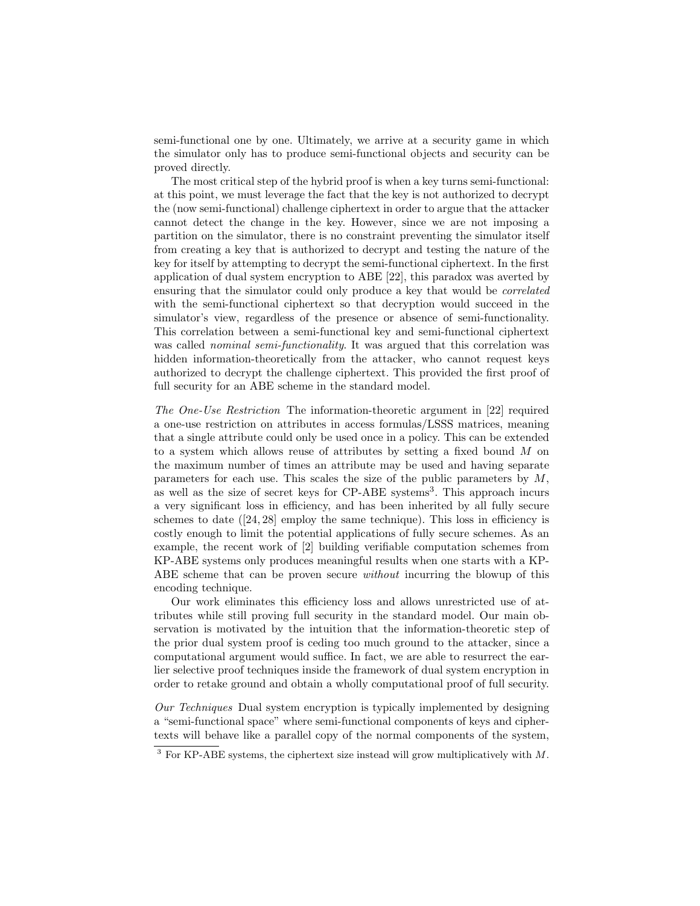semi-functional one by one. Ultimately, we arrive at a security game in which the simulator only has to produce semi-functional objects and security can be proved directly.

The most critical step of the hybrid proof is when a key turns semi-functional: at this point, we must leverage the fact that the key is not authorized to decrypt the (now semi-functional) challenge ciphertext in order to argue that the attacker cannot detect the change in the key. However, since we are not imposing a partition on the simulator, there is no constraint preventing the simulator itself from creating a key that is authorized to decrypt and testing the nature of the key for itself by attempting to decrypt the semi-functional ciphertext. In the first application of dual system encryption to ABE [22], this paradox was averted by ensuring that the simulator could only produce a key that would be correlated with the semi-functional ciphertext so that decryption would succeed in the simulator's view, regardless of the presence or absence of semi-functionality. This correlation between a semi-functional key and semi-functional ciphertext was called *nominal semi-functionality*. It was argued that this correlation was hidden information-theoretically from the attacker, who cannot request keys authorized to decrypt the challenge ciphertext. This provided the first proof of full security for an ABE scheme in the standard model.

The One-Use Restriction The information-theoretic argument in [22] required a one-use restriction on attributes in access formulas/LSSS matrices, meaning that a single attribute could only be used once in a policy. This can be extended to a system which allows reuse of attributes by setting a fixed bound M on the maximum number of times an attribute may be used and having separate parameters for each use. This scales the size of the public parameters by  $M$ , as well as the size of secret keys for CP-ABE systems<sup>3</sup>. This approach incurs a very significant loss in efficiency, and has been inherited by all fully secure schemes to date  $([24, 28]$  employ the same technique). This loss in efficiency is costly enough to limit the potential applications of fully secure schemes. As an example, the recent work of [2] building verifiable computation schemes from KP-ABE systems only produces meaningful results when one starts with a KP-ABE scheme that can be proven secure without incurring the blowup of this encoding technique.

Our work eliminates this efficiency loss and allows unrestricted use of attributes while still proving full security in the standard model. Our main observation is motivated by the intuition that the information-theoretic step of the prior dual system proof is ceding too much ground to the attacker, since a computational argument would suffice. In fact, we are able to resurrect the earlier selective proof techniques inside the framework of dual system encryption in order to retake ground and obtain a wholly computational proof of full security.

Our Techniques Dual system encryption is typically implemented by designing a "semi-functional space" where semi-functional components of keys and ciphertexts will behave like a parallel copy of the normal components of the system,

 $3$  For KP-ABE systems, the ciphertext size instead will grow multiplicatively with  $M$ .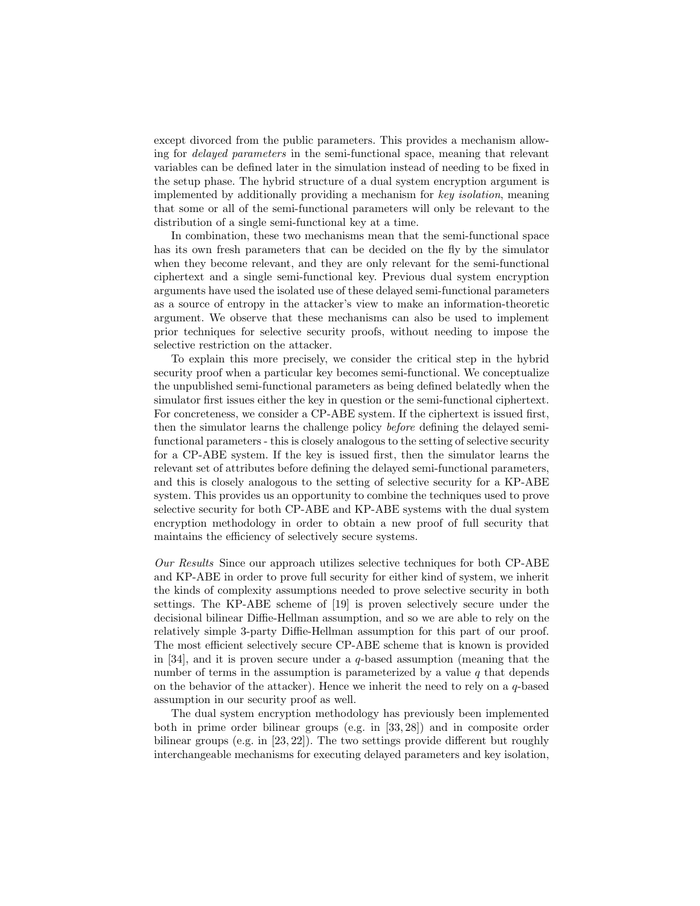except divorced from the public parameters. This provides a mechanism allowing for delayed parameters in the semi-functional space, meaning that relevant variables can be defined later in the simulation instead of needing to be fixed in the setup phase. The hybrid structure of a dual system encryption argument is implemented by additionally providing a mechanism for key isolation, meaning that some or all of the semi-functional parameters will only be relevant to the distribution of a single semi-functional key at a time.

In combination, these two mechanisms mean that the semi-functional space has its own fresh parameters that can be decided on the fly by the simulator when they become relevant, and they are only relevant for the semi-functional ciphertext and a single semi-functional key. Previous dual system encryption arguments have used the isolated use of these delayed semi-functional parameters as a source of entropy in the attacker's view to make an information-theoretic argument. We observe that these mechanisms can also be used to implement prior techniques for selective security proofs, without needing to impose the selective restriction on the attacker.

To explain this more precisely, we consider the critical step in the hybrid security proof when a particular key becomes semi-functional. We conceptualize the unpublished semi-functional parameters as being defined belatedly when the simulator first issues either the key in question or the semi-functional ciphertext. For concreteness, we consider a CP-ABE system. If the ciphertext is issued first, then the simulator learns the challenge policy before defining the delayed semifunctional parameters - this is closely analogous to the setting of selective security for a CP-ABE system. If the key is issued first, then the simulator learns the relevant set of attributes before defining the delayed semi-functional parameters, and this is closely analogous to the setting of selective security for a KP-ABE system. This provides us an opportunity to combine the techniques used to prove selective security for both CP-ABE and KP-ABE systems with the dual system encryption methodology in order to obtain a new proof of full security that maintains the efficiency of selectively secure systems.

Our Results Since our approach utilizes selective techniques for both CP-ABE and KP-ABE in order to prove full security for either kind of system, we inherit the kinds of complexity assumptions needed to prove selective security in both settings. The KP-ABE scheme of [19] is proven selectively secure under the decisional bilinear Diffie-Hellman assumption, and so we are able to rely on the relatively simple 3-party Diffie-Hellman assumption for this part of our proof. The most efficient selectively secure CP-ABE scheme that is known is provided in [34], and it is proven secure under a q-based assumption (meaning that the number of terms in the assumption is parameterized by a value  $q$  that depends on the behavior of the attacker). Hence we inherit the need to rely on a  $q$ -based assumption in our security proof as well.

The dual system encryption methodology has previously been implemented both in prime order bilinear groups (e.g. in [33, 28]) and in composite order bilinear groups (e.g. in [23, 22]). The two settings provide different but roughly interchangeable mechanisms for executing delayed parameters and key isolation,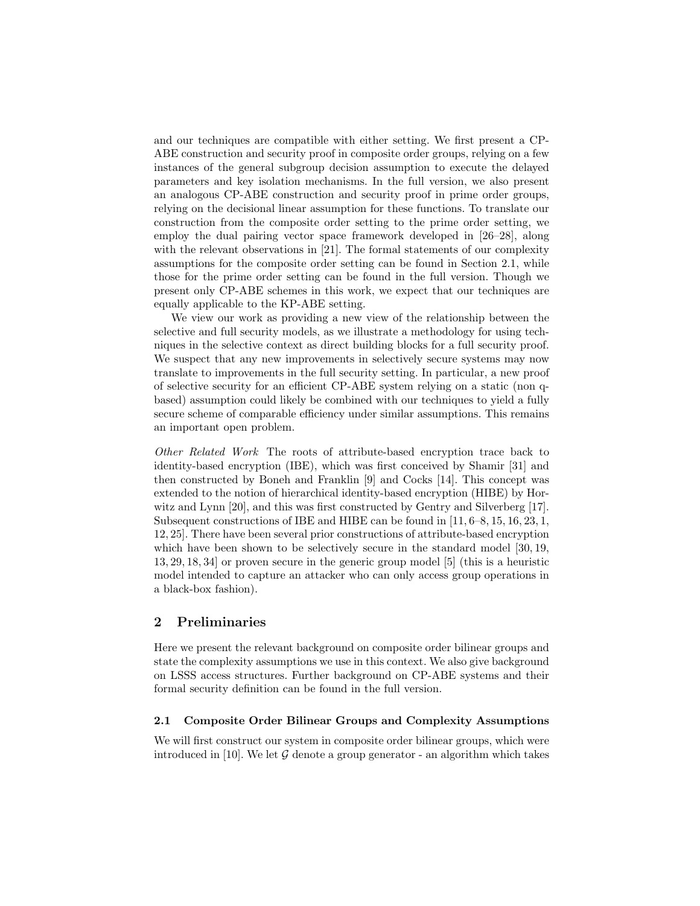and our techniques are compatible with either setting. We first present a CP-ABE construction and security proof in composite order groups, relying on a few instances of the general subgroup decision assumption to execute the delayed parameters and key isolation mechanisms. In the full version, we also present an analogous CP-ABE construction and security proof in prime order groups, relying on the decisional linear assumption for these functions. To translate our construction from the composite order setting to the prime order setting, we employ the dual pairing vector space framework developed in [26–28], along with the relevant observations in [21]. The formal statements of our complexity assumptions for the composite order setting can be found in Section 2.1, while those for the prime order setting can be found in the full version. Though we present only CP-ABE schemes in this work, we expect that our techniques are equally applicable to the KP-ABE setting.

We view our work as providing a new view of the relationship between the selective and full security models, as we illustrate a methodology for using techniques in the selective context as direct building blocks for a full security proof. We suspect that any new improvements in selectively secure systems may now translate to improvements in the full security setting. In particular, a new proof of selective security for an efficient CP-ABE system relying on a static (non qbased) assumption could likely be combined with our techniques to yield a fully secure scheme of comparable efficiency under similar assumptions. This remains an important open problem.

Other Related Work The roots of attribute-based encryption trace back to identity-based encryption (IBE), which was first conceived by Shamir [31] and then constructed by Boneh and Franklin [9] and Cocks [14]. This concept was extended to the notion of hierarchical identity-based encryption (HIBE) by Horwitz and Lynn [20], and this was first constructed by Gentry and Silverberg [17]. Subsequent constructions of IBE and HIBE can be found in  $[11, 6-8, 15, 16, 23, 1, 16]$ 12, 25]. There have been several prior constructions of attribute-based encryption which have been shown to be selectively secure in the standard model [30, 19, 13, 29, 18, 34] or proven secure in the generic group model [5] (this is a heuristic model intended to capture an attacker who can only access group operations in a black-box fashion).

# 2 Preliminaries

Here we present the relevant background on composite order bilinear groups and state the complexity assumptions we use in this context. We also give background on LSSS access structures. Further background on CP-ABE systems and their formal security definition can be found in the full version.

#### 2.1 Composite Order Bilinear Groups and Complexity Assumptions

We will first construct our system in composite order bilinear groups, which were introduced in [10]. We let  $G$  denote a group generator - an algorithm which takes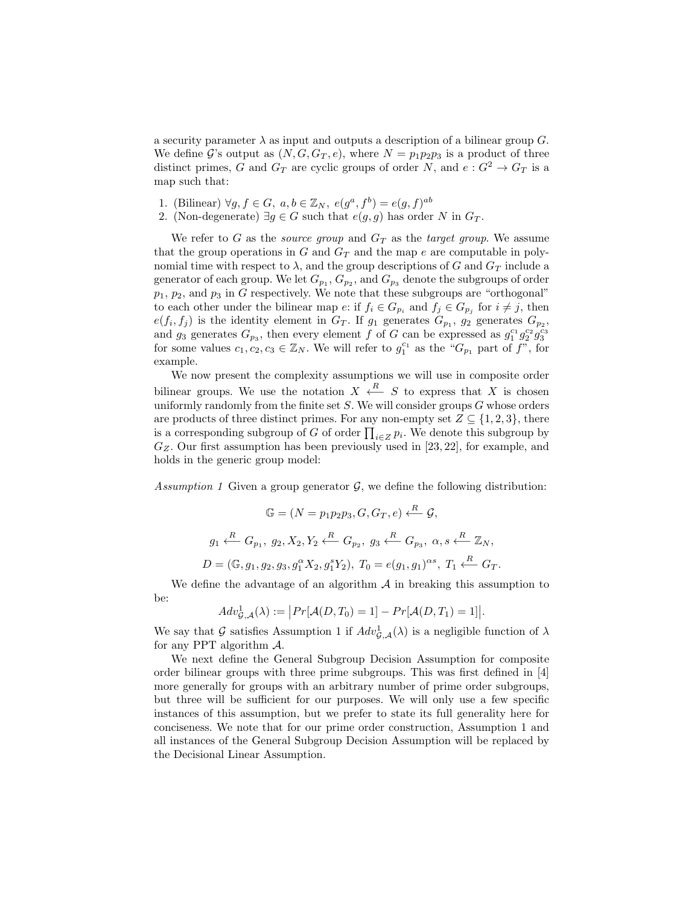a security parameter  $\lambda$  as input and outputs a description of a bilinear group G. We define G's output as  $(N, G, G_T, e)$ , where  $N = p_1 p_2 p_3$  is a product of three distinct primes, G and  $G_T$  are cyclic groups of order N, and  $e: G^2 \to G_T$  is a map such that:

- 1. (Bilinear)  $\forall g, f \in G, a, b \in \mathbb{Z}_N, e(g^a, f^b) = e(g, f)^{ab}$
- 2. (Non-degenerate)  $\exists g \in G$  such that  $e(g, g)$  has order N in  $G_T$ .

We refer to G as the *source group* and  $G_T$  as the *target group*. We assume that the group operations in  $G$  and  $G_T$  and the map  $e$  are computable in polynomial time with respect to  $\lambda$ , and the group descriptions of G and  $G_T$  include a generator of each group. We let  $G_{p_1}, G_{p_2}$ , and  $G_{p_3}$  denote the subgroups of order  $p_1, p_2$ , and  $p_3$  in G respectively. We note that these subgroups are "orthogonal" to each other under the bilinear map  $e:$  if  $f_i \in G_{p_i}$  and  $f_j \in G_{p_j}$  for  $i \neq j$ , then  $e(f_i, f_j)$  is the identity element in  $G_T$ . If  $g_1$  generates  $G_{p_1}, g_2$  generates  $G_{p_2},$ and  $g_3$  generates  $G_{p_3}$ , then every element f of G can be expressed as  $g_1^{c_1}g_2^{c_2}g_3^{c_3}$ for some values  $c_1, c_2, c_3 \in \mathbb{Z}_N$ . We will refer to  $g_1^{c_1}$  as the " $G_{p_1}$  part of  $f$ ", for example.

We now present the complexity assumptions we will use in composite order bilinear groups. We use the notation  $X \stackrel{R}{\longleftarrow} S$  to express that X is chosen uniformly randomly from the finite set  $S$ . We will consider groups  $G$  whose orders are products of three distinct primes. For any non-empty set  $Z \subseteq \{1, 2, 3\}$ , there is a corresponding subgroup of G of order  $\prod_{i\in\mathbb{Z}}p_i$ . We denote this subgroup by  $G_Z$ . Our first assumption has been previously used in [23, 22], for example, and holds in the generic group model:

Assumption 1 Given a group generator  $\mathcal{G}$ , we define the following distribution:

$$
\mathbb{G} = (N = p_1 p_2 p_3, G, G_T, e) \xleftarrow{R} \mathcal{G},
$$
  
\n
$$
g_1 \xleftarrow{R} G_{p_1}, g_2, X_2, Y_2 \xleftarrow{R} G_{p_2}, g_3 \xleftarrow{R} G_{p_3}, \alpha, s \xleftarrow{R} \mathbb{Z}_N,
$$
  
\n
$$
D = (\mathbb{G}, g_1, g_2, g_3, g_1^{\alpha} X_2, g_1^s Y_2), T_0 = e(g_1, g_1)^{\alpha s}, T_1 \xleftarrow{R} G_T.
$$

We define the advantage of an algorithm  $A$  in breaking this assumption to be:

$$
Adv_{\mathcal{G},\mathcal{A}}^1(\lambda) := \big| Pr[\mathcal{A}(D,T_0) = 1] - Pr[\mathcal{A}(D,T_1) = 1] \big|.
$$

We say that G satisfies Assumption 1 if  $Adv_{\mathcal{G},\mathcal{A}}^1(\lambda)$  is a negligible function of  $\lambda$ for any PPT algorithm  $\mathcal{A}$ .

We next define the General Subgroup Decision Assumption for composite order bilinear groups with three prime subgroups. This was first defined in [4] more generally for groups with an arbitrary number of prime order subgroups, but three will be sufficient for our purposes. We will only use a few specific instances of this assumption, but we prefer to state its full generality here for conciseness. We note that for our prime order construction, Assumption 1 and all instances of the General Subgroup Decision Assumption will be replaced by the Decisional Linear Assumption.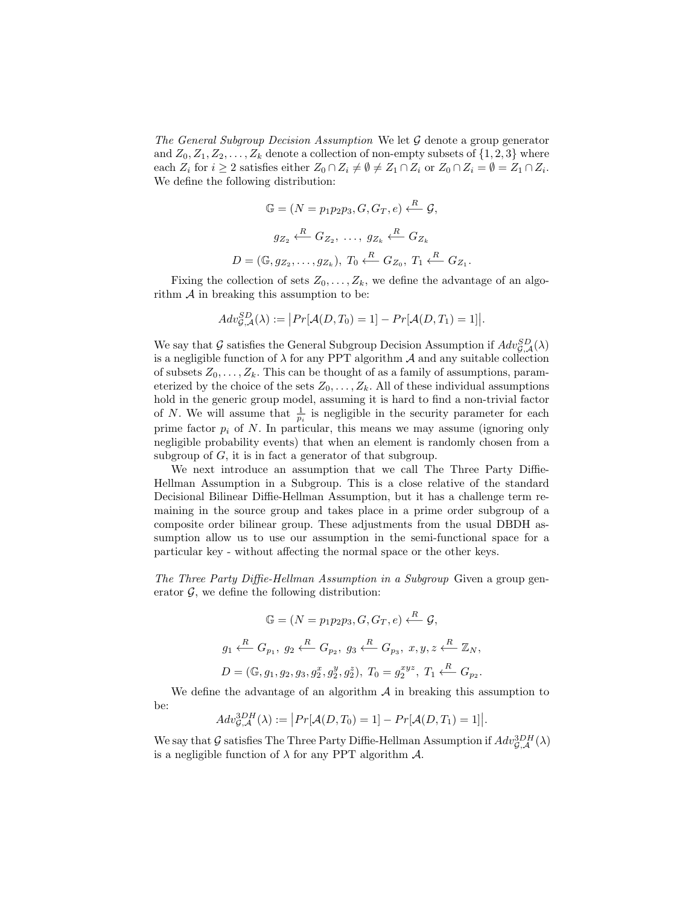The General Subgroup Decision Assumption We let G denote a group generator and  $Z_0, Z_1, Z_2, \ldots, Z_k$  denote a collection of non-empty subsets of  $\{1, 2, 3\}$  where each  $Z_i$  for  $i \geq 2$  satisfies either  $Z_0 \cap Z_i \neq \emptyset \neq Z_1 \cap Z_i$  or  $Z_0 \cap Z_i = \emptyset = Z_1 \cap Z_i$ . We define the following distribution:

$$
\mathbb{G} = (N = p_1 p_2 p_3, G, G_T, e) \xleftarrow{R} \mathcal{G},
$$

$$
g_{Z_2} \xleftarrow{R} G_{Z_2}, \dots, g_{Z_k} \xleftarrow{R} G_{Z_k}
$$

$$
D = (\mathbb{G}, g_{Z_2}, \dots, g_{Z_k}), T_0 \xleftarrow{R} G_{Z_0}, T_1 \xleftarrow{R} G_{Z_1}
$$

.

Fixing the collection of sets  $Z_0, \ldots, Z_k$ , we define the advantage of an algorithm  $A$  in breaking this assumption to be:

$$
Adv_{\mathcal{G},\mathcal{A}}^{SD}(\lambda) := \big| Pr[\mathcal{A}(D,T_0) = 1] - Pr[\mathcal{A}(D,T_1) = 1] \big|.
$$

We say that G satisfies the General Subgroup Decision Assumption if  $Adv_{\mathcal{G},\mathcal{A}}^{SD}(\lambda)$ is a negligible function of  $\lambda$  for any PPT algorithm  $\mathcal A$  and any suitable collection of subsets  $Z_0, \ldots, Z_k$ . This can be thought of as a family of assumptions, parameterized by the choice of the sets  $Z_0, \ldots, Z_k$ . All of these individual assumptions hold in the generic group model, assuming it is hard to find a non-trivial factor of N. We will assume that  $\frac{1}{p_i}$  is negligible in the security parameter for each prime factor  $p_i$  of N. In particular, this means we may assume (ignoring only negligible probability events) that when an element is randomly chosen from a subgroup of  $G$ , it is in fact a generator of that subgroup.

We next introduce an assumption that we call The Three Party Diffie-Hellman Assumption in a Subgroup. This is a close relative of the standard Decisional Bilinear Diffie-Hellman Assumption, but it has a challenge term remaining in the source group and takes place in a prime order subgroup of a composite order bilinear group. These adjustments from the usual DBDH assumption allow us to use our assumption in the semi-functional space for a particular key - without affecting the normal space or the other keys.

The Three Party Diffie-Hellman Assumption in a Subgroup Given a group generator  $\mathcal{G}$ , we define the following distribution:

$$
\mathbb{G} = (N = p_1 p_2 p_3, G, G_T, e) \xleftarrow{R} \mathcal{G},
$$
  
\n
$$
g_1 \xleftarrow{R} G_{p_1}, g_2 \xleftarrow{R} G_{p_2}, g_3 \xleftarrow{R} G_{p_3}, x, y, z \xleftarrow{R} \mathbb{Z}_N,
$$
  
\n
$$
D = (\mathbb{G}, g_1, g_2, g_3, g_2^x, g_2^y, g_2^z), T_0 = g_2^{xyz}, T_1 \xleftarrow{R} G_{p_2}.
$$

We define the advantage of an algorithm  $A$  in breaking this assumption to be:

$$
Adv_{\mathcal{G},\mathcal{A}}^{3DH}(\lambda) := \big| Pr[\mathcal{A}(D,T_0) = 1] - Pr[\mathcal{A}(D,T_1) = 1] \big|.
$$

We say that G satisfies The Three Party Diffie-Hellman Assumption if  $Adv_{\mathcal{G},\mathcal{A}}^{3DH}(\lambda)$ is a negligible function of  $\lambda$  for any PPT algorithm  $\mathcal{A}$ .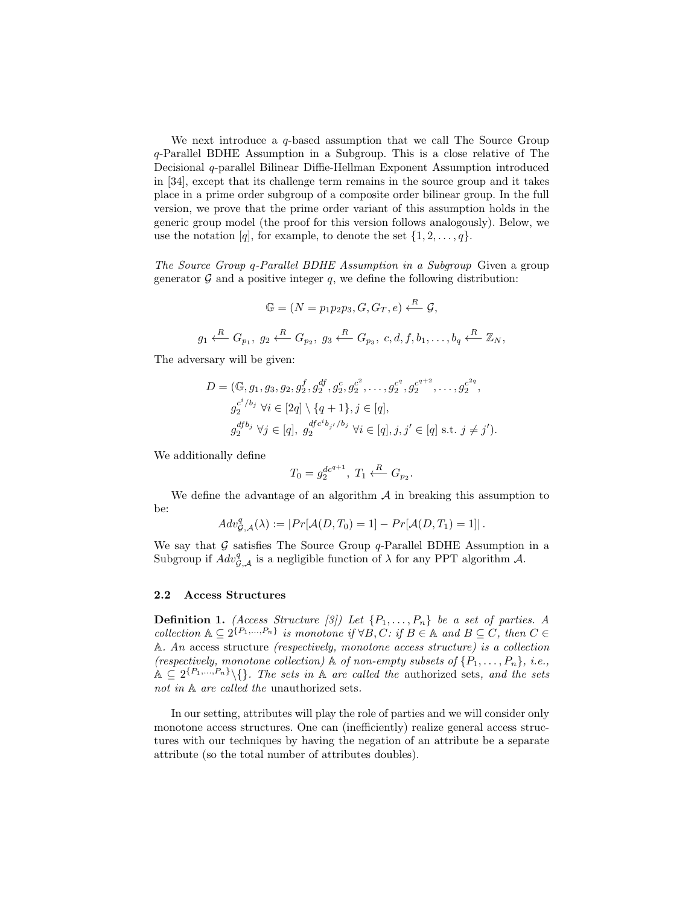We next introduce a q-based assumption that we call The Source Group q-Parallel BDHE Assumption in a Subgroup. This is a close relative of The Decisional q-parallel Bilinear Diffie-Hellman Exponent Assumption introduced in [34], except that its challenge term remains in the source group and it takes place in a prime order subgroup of a composite order bilinear group. In the full version, we prove that the prime order variant of this assumption holds in the generic group model (the proof for this version follows analogously). Below, we use the notation [q], for example, to denote the set  $\{1, 2, \ldots, q\}$ .

The Source Group q-Parallel BDHE Assumption in a Subgroup Given a group generator  $\mathcal G$  and a positive integer  $q$ , we define the following distribution:

$$
\mathbb{G} = (N = p_1 p_2 p_3, G, G_T, e) \xleftarrow{R} \mathcal{G},
$$

$$
g_1 \xleftarrow{R} G_{p_1}, g_2 \xleftarrow{R} G_{p_2}, g_3 \xleftarrow{R} G_{p_3}, c, d, f, b_1, \dots, b_q \xleftarrow{R} \mathbb{Z}_N
$$

The adversary will be given:

$$
D = (\mathbb{G}, g_1, g_3, g_2, g_2^f, g_2^{df}, g_2^c, g_2^{c^2}, \dots, g_2^{c^q}, g_2^{c^{q+2}}, \dots, g_2^{c^{2q}}, g_2^{c^i/b_j} \ \forall i \in [2q] \setminus \{q+1\}, j \in [q],
$$
  

$$
g_2^{dfb_j} \ \forall j \in [q], \ g_2^{dfc^ib_{j'}/b_j} \ \forall i \in [q], j, j' \in [q] \ \text{s.t.} \ j \neq j').
$$

We additionally define

$$
T_0 = g_2^{dc^{q+1}}, T_1 \xleftarrow{R} G_{p_2}.
$$

We define the advantage of an algorithm  $A$  in breaking this assumption to be:

$$
Adv_{\mathcal{G},\mathcal{A}}^{q}(\lambda) := |Pr[\mathcal{A}(D,T_0) = 1] - Pr[\mathcal{A}(D,T_1) = 1]|.
$$

We say that  $G$  satisfies The Source Group  $q$ -Parallel BDHE Assumption in a Subgroup if  $Adv_{\mathcal{G},\mathcal{A}}^q$  is a negligible function of  $\lambda$  for any PPT algorithm  $\mathcal{A}$ .

#### 2.2 Access Structures

**Definition 1.** (Access Structure [3]) Let  $\{P_1, \ldots, P_n\}$  be a set of parties. A collection  $\mathbb{A} \subseteq 2^{\{P_1,\ldots,P_n\}}$  is monotone if  $\forall B,C:$  if  $B \in \mathbb{A}$  and  $B \subseteq C$ , then  $C \in$ A. An access structure (respectively, monotone access structure) is a collection (respectively, monotone collection)  $\mathbb A$  of non-empty subsets of  $\{P_1, \ldots, P_n\}$ , i.e.,  $A \subseteq 2^{\{P_1,\ldots,P_n\}}\setminus \{\}\$ . The sets in A are called the authorized sets, and the sets not in  $A$  are called the unauthorized sets.

In our setting, attributes will play the role of parties and we will consider only monotone access structures. One can (inefficiently) realize general access structures with our techniques by having the negation of an attribute be a separate attribute (so the total number of attributes doubles).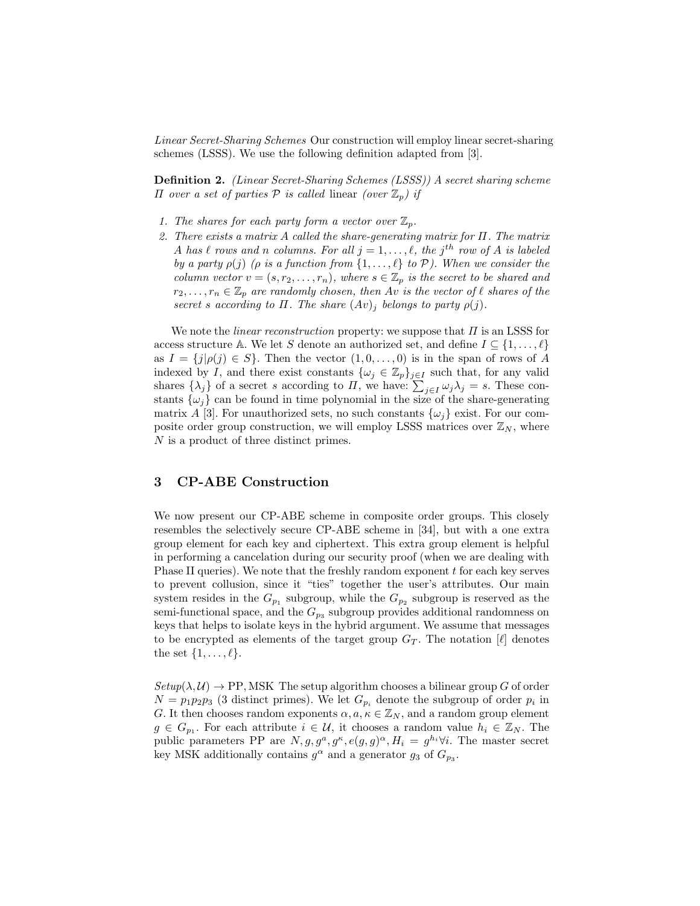Linear Secret-Sharing Schemes Our construction will employ linear secret-sharing schemes (LSSS). We use the following definition adapted from [3].

Definition 2. (Linear Secret-Sharing Schemes (LSSS)) A secret sharing scheme Π over a set of parties  $P$  is called linear (over  $\mathbb{Z}_p$ ) if

- 1. The shares for each party form a vector over  $\mathbb{Z}_p$ .
- 2. There exists a matrix A called the share-generating matrix for Π. The matrix A has  $\ell$  rows and n columns. For all  $j = 1, \ldots, \ell$ , the j<sup>th</sup> row of A is labeled by a party  $\rho(j)$  ( $\rho$  is a function from  $\{1, \ldots, \ell\}$  to  $\mathcal{P}$ ). When we consider the column vector  $v = (s, r_2, \ldots, r_n)$ , where  $s \in \mathbb{Z}_p$  is the secret to be shared and  $r_2, \ldots, r_n \in \mathbb{Z}_p$  are randomly chosen, then Av is the vector of  $\ell$  shares of the secret s according to  $\Pi$ . The share  $(Av)_i$  belongs to party  $\rho(j)$ .

We note the *linear reconstruction* property: we suppose that  $\Pi$  is an LSSS for access structure A. We let S denote an authorized set, and define  $I \subseteq \{1, \ldots, \ell\}$ as  $I = \{j | \rho(j) \in S\}$ . Then the vector  $(1, 0, \ldots, 0)$  is in the span of rows of A indexed by I, and there exist constants  $\{\omega_j \in \mathbb{Z}_p\}_{j\in I}$  such that, for any valid shares  $\{\lambda_j\}$  of a secret s according to  $\Pi$ , we have:  $\sum_{j\in I}\omega_j\lambda_j=s$ . These constants  $\{\omega_i\}$  can be found in time polynomial in the size of the share-generating matrix A [3]. For unauthorized sets, no such constants  $\{\omega_i\}$  exist. For our composite order group construction, we will employ LSSS matrices over  $\mathbb{Z}_N$ , where N is a product of three distinct primes.

## 3 CP-ABE Construction

We now present our CP-ABE scheme in composite order groups. This closely resembles the selectively secure CP-ABE scheme in [34], but with a one extra group element for each key and ciphertext. This extra group element is helpful in performing a cancelation during our security proof (when we are dealing with Phase II queries). We note that the freshly random exponent t for each key serves to prevent collusion, since it "ties" together the user's attributes. Our main system resides in the  $G_{p_1}$  subgroup, while the  $G_{p_2}$  subgroup is reserved as the semi-functional space, and the  $G_{p_3}$  subgroup provides additional randomness on keys that helps to isolate keys in the hybrid argument. We assume that messages to be encrypted as elements of the target group  $G_T$ . The notation  $[\ell]$  denotes the set  $\{1, \ldots, \ell\}.$ 

 $Setup(\lambda, \mathcal{U}) \rightarrow PP$ , MSK The setup algorithm chooses a bilinear group G of order  $N = p_1 p_2 p_3$  (3 distinct primes). We let  $G_{p_i}$  denote the subgroup of order  $p_i$  in G. It then chooses random exponents  $\alpha, a, \kappa \in \mathbb{Z}_N$ , and a random group element  $g \in G_{p_1}$ . For each attribute  $i \in \mathcal{U}$ , it chooses a random value  $h_i \in \mathbb{Z}_N$ . The public parameters PP are  $N, g, g^a, g^\kappa, e(g, g)^\alpha, H_i = g^{h_i} \forall i$ . The master secret key MSK additionally contains  $g^{\alpha}$  and a generator  $g_3$  of  $G_{p_3}$ .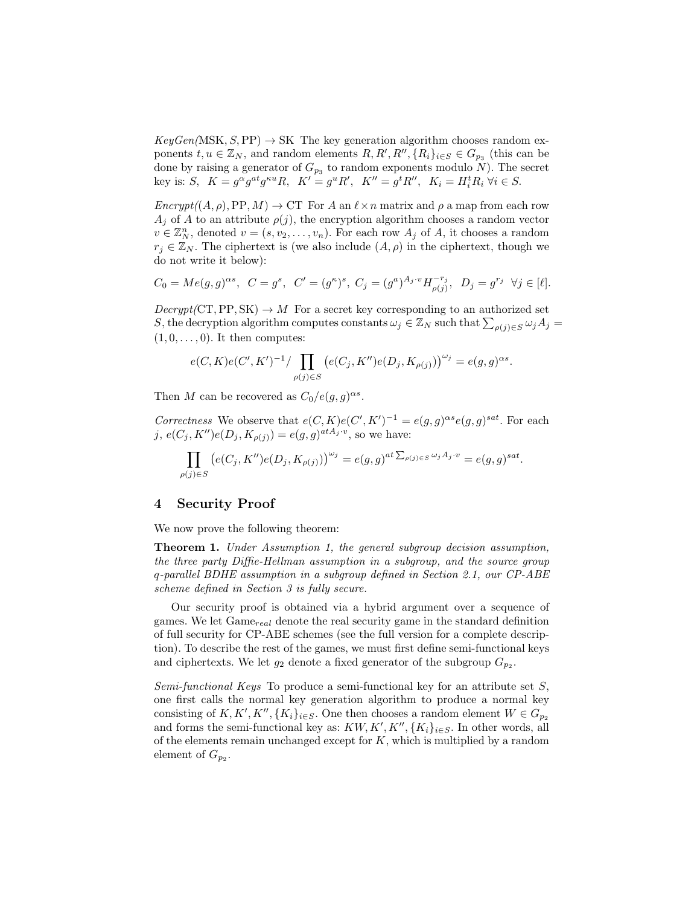$KeyGen(MSK, S, PP) \rightarrow SK$  The key generation algorithm chooses random exponents  $t, u \in \mathbb{Z}_N$ , and random elements  $R, R', R'', \{R_i\}_{i \in S} \in G_{p_3}$  (this can be done by raising a generator of  $G_{p_3}$  to random exponents modulo N). The secret key is:  $S$ ,  $K = g^{\alpha} g^{at} g^{\kappa u} R$ ,  $K' = g^u R'$ ,  $K'' = g^t R''$ ,  $K_i = H_i^t R_i \ \forall i \in S$ .

 $\text{Encrypt}((A, \rho), \text{PP}, M) \to \text{CT}$  For A an  $\ell \times n$  matrix and  $\rho$  a map from each row  $A_i$  of A to an attribute  $\rho(j)$ , the encryption algorithm chooses a random vector  $v \in \mathbb{Z}_N^n$ , denoted  $v = (s, v_2, \dots, v_n)$ . For each row  $A_j$  of A, it chooses a random  $r_j \in \mathbb{Z}_N$ . The ciphertext is (we also include  $(A, \rho)$  in the ciphertext, though we do not write it below):

$$
C_0 = Me(g, g)^{\alpha s}, \ C = g^s, \ C' = (g^{\kappa})^s, \ C_j = (g^a)^{A_j \cdot v} H_{\rho(j)}^{-r_j}, \ D_j = g^{r_j} \ \forall j \in [\ell].
$$

 $Decrypt$ (CT, PP, SK)  $\rightarrow M$  For a secret key corresponding to an authorized set S, the decryption algorithm computes constants  $\omega_j \in \mathbb{Z}_N$  such that  $\sum_{\rho(j)\in S} \omega_j A_j =$  $(1, 0, \ldots, 0)$ . It then computes:

$$
e(C, K)e(C', K')^{-1}/\prod_{\rho(j)\in S} (e(C_j, K'')e(D_j, K_{\rho(j)}))^{\omega_j} = e(g, g)^{\alpha s}.
$$

Then M can be recovered as  $C_0/e(g,g)^{\alpha s}$ .

Correctness We observe that  $e(C, K) e(C', K')^{-1} = e(g, g)^{\alpha s} e(g, g)^{sat}$ . For each j,  $e(C_j, K'')e(D_j, K_{\rho(j)}) = e(g, g)^{atA_j \cdot v}$ , so we have:

$$
\prod_{\rho(j)\in S} \left( e(C_j, K'')e(D_j, K_{\rho(j)}) \right)^{\omega_j} = e(g, g)^{at \sum_{\rho(j)\in S} \omega_j A_j \cdot v} = e(g, g)^{sat}.
$$

## 4 Security Proof

We now prove the following theorem:

Theorem 1. Under Assumption 1, the general subgroup decision assumption, the three party Diffie-Hellman assumption in a subgroup, and the source group q-parallel BDHE assumption in a subgroup defined in Section 2.1, our CP-ABE scheme defined in Section 3 is fully secure.

Our security proof is obtained via a hybrid argument over a sequence of games. We let  $Game_{real}$  denote the real security game in the standard definition of full security for CP-ABE schemes (see the full version for a complete description). To describe the rest of the games, we must first define semi-functional keys and ciphertexts. We let  $g_2$  denote a fixed generator of the subgroup  $G_{p_2}$ .

Semi-functional Keys To produce a semi-functional key for an attribute set  $S$ , one first calls the normal key generation algorithm to produce a normal key consisting of  $K, K', K'', \{K_i\}_{i \in S}$ . One then chooses a random element  $W \in G_{p_2}$ and forms the semi-functional key as:  $KW, K', K'', \{K_i\}_{i\in S}$ . In other words, all of the elements remain unchanged except for  $K$ , which is multiplied by a random element of  $G_{p_2}$ .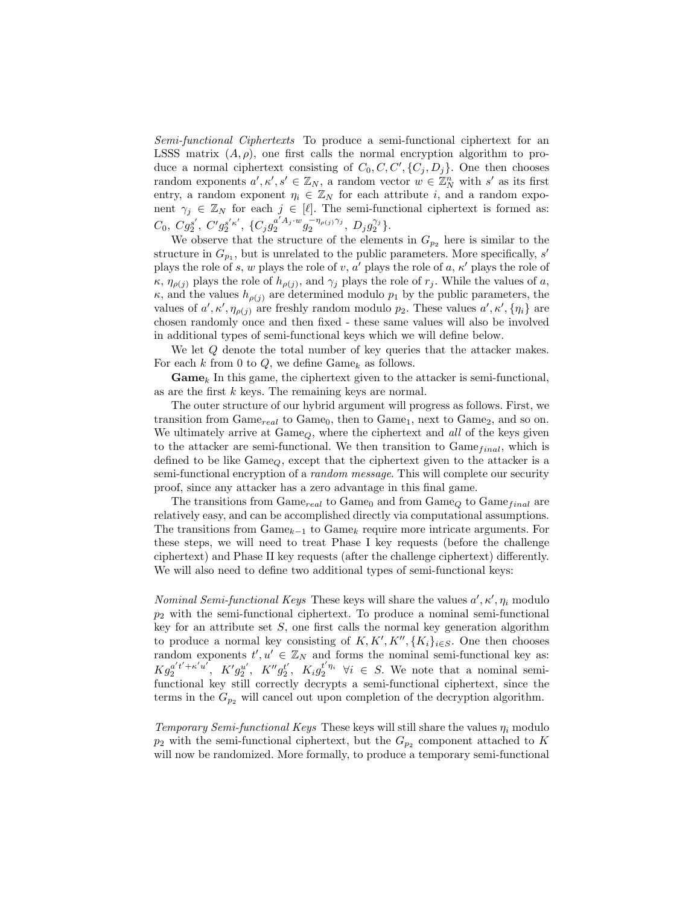Semi-functional Ciphertexts To produce a semi-functional ciphertext for an LSSS matrix  $(A, \rho)$ , one first calls the normal encryption algorithm to produce a normal ciphertext consisting of  $C_0, C, C', \{C_j, D_j\}$ . One then chooses random exponents  $a', \kappa', s' \in \mathbb{Z}_N$ , a random vector  $w \in \mathbb{Z}_N^n$  with  $s'$  as its first entry, a random exponent  $\eta_i \in \mathbb{Z}_N$  for each attribute i, and a random exponent  $\gamma_j \in \mathbb{Z}_N$  for each  $j \in [\ell]$ . The semi-functional ciphertext is formed as:  $C_0, Cg_2^{s'}, C'g_2^{s'\kappa'}, \{C_jg_2^{a'A_j \cdot w}g_2^{-\eta_{\rho(j)}\gamma_j}, D_jg_2^{\gamma_j}\}.$ 

We observe that the structure of the elements in  $G_{p_2}$  here is similar to the structure in  $G_{p_1}$ , but is unrelated to the public parameters. More specifically, s' plays the role of s, w plays the role of v, a' plays the role of a,  $\kappa'$  plays the role of  $\kappa$ ,  $\eta_{\rho(j)}$  plays the role of  $h_{\rho(j)}$ , and  $\gamma_j$  plays the role of  $r_j$ . While the values of a,  $\kappa$ , and the values  $h_{\rho(j)}$  are determined modulo  $p_1$  by the public parameters, the values of  $a', \kappa', \eta_{\rho(j)}$  are freshly random modulo  $p_2$ . These values  $a', \kappa', \{\eta_i\}$  are chosen randomly once and then fixed - these same values will also be involved in additional types of semi-functional keys which we will define below.

We let Q denote the total number of key queries that the attacker makes. For each k from 0 to  $Q$ , we define  $\text{Game}_k$  as follows.

 $\mathbf{Game}_k$  In this game, the ciphertext given to the attacker is semi-functional, as are the first k keys. The remaining keys are normal.

The outer structure of our hybrid argument will progress as follows. First, we transition from  $Game_{real}$  to  $Game_0$ , then to  $Game_1$ , next to  $Game_2$ , and so on. We ultimately arrive at  $Game_Q$ , where the ciphertext and all of the keys given to the attacker are semi-functional. We then transition to  $\text{Game}_{final}$ , which is defined to be like  $Game_Q$ , except that the ciphertext given to the attacker is a semi-functional encryption of a *random message*. This will complete our security proof, since any attacker has a zero advantage in this final game.

The transitions from  $\text{Game}_{real}$  to  $\text{Game}_{0}$  and from  $\text{Game}_{Q}$  to  $\text{Game}_{final}$  are relatively easy, and can be accomplished directly via computational assumptions. The transitions from  $\text{Game}_{k-1}$  to  $\text{Game}_k$  require more intricate arguments. For these steps, we will need to treat Phase I key requests (before the challenge ciphertext) and Phase II key requests (after the challenge ciphertext) differently. We will also need to define two additional types of semi-functional keys:

*Nominal Semi-functional Keys* These keys will share the values  $a', \kappa', \eta_i$  modulo  $p_2$  with the semi-functional ciphertext. To produce a nominal semi-functional key for an attribute set  $S$ , one first calls the normal key generation algorithm to produce a normal key consisting of  $K, K', K'', \{K_i\}_{i \in S}$ . One then chooses random exponents  $t', u' \in \mathbb{Z}_N$  and forms the nominal semi-functional key as:  $Kg_2^{a't'+\kappa'u'}$  $a'^{t'+\kappa'u'}$ ,  $K'g_2^{u'}$ ,  $K''g_2^{t'}$ ,  $K_ig_2^{t'n_i}$   $\forall i \in S$ . We note that a nominal semifunctional key still correctly decrypts a semi-functional ciphertext, since the terms in the  $G_{p_2}$  will cancel out upon completion of the decryption algorithm.

Temporary Semi-functional Keys These keys will still share the values  $\eta_i$  modulo  $p_2$  with the semi-functional ciphertext, but the  $G_{p_2}$  component attached to K will now be randomized. More formally, to produce a temporary semi-functional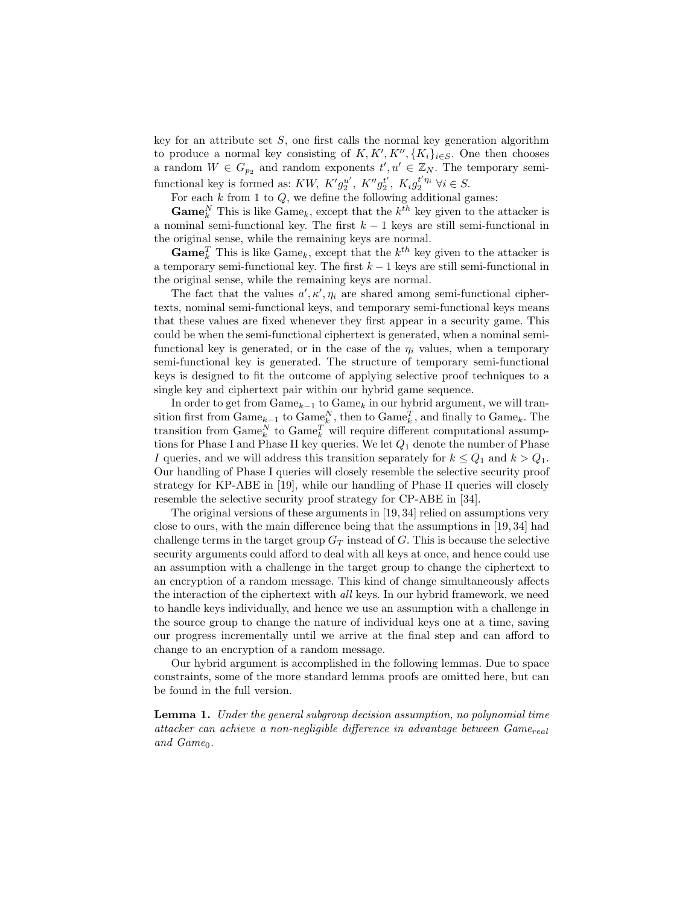key for an attribute set  $S$ , one first calls the normal key generation algorithm to produce a normal key consisting of  $K, K', K'', \{K_i\}_{i \in S}$ . One then chooses a random  $W \in G_{p_2}$  and random exponents  $t', u' \in \mathbb{Z}_N$ . The temporary semifunctional key is formed as:  $KW, K'g_2^{u'}, K''g_2^{t'}, K_ig_2^{t'\eta_i} \ \forall i \in S.$ 

For each  $k$  from 1 to  $Q$ , we define the following additional games:

**Game**<sup>N</sup> This is like Game<sub>k</sub>, except that the  $k^{th}$  key given to the attacker is a nominal semi-functional key. The first  $k - 1$  keys are still semi-functional in the original sense, while the remaining keys are normal.

**Game**<sub>k</sub><sup>T</sup> This is like Game<sub>k</sub>, except that the  $k^{th}$  key given to the attacker is a temporary semi-functional key. The first  $k - 1$  keys are still semi-functional in the original sense, while the remaining keys are normal.

The fact that the values  $a', \kappa', \eta_i$  are shared among semi-functional ciphertexts, nominal semi-functional keys, and temporary semi-functional keys means that these values are fixed whenever they first appear in a security game. This could be when the semi-functional ciphertext is generated, when a nominal semifunctional key is generated, or in the case of the  $\eta_i$  values, when a temporary semi-functional key is generated. The structure of temporary semi-functional keys is designed to fit the outcome of applying selective proof techniques to a single key and ciphertext pair within our hybrid game sequence.

In order to get from  $\text{Game}_{k-1}$  to  $\text{Game}_k$  in our hybrid argument, we will transition first from  $\text{Game}_{k-1}^k$  to  $\text{Game}_k^N$ , then to  $\text{Game}_k^T$ , and finally to  $\text{Game}_k$ . The transition from  $\text{Game}_k^N$  to  $\text{Game}_k^T$  will require different computational assumptions for Phase I and Phase II key queries. We let  $Q_1$  denote the number of Phase I queries, and we will address this transition separately for  $k \leq Q_1$  and  $k > Q_1$ . Our handling of Phase I queries will closely resemble the selective security proof strategy for KP-ABE in [19], while our handling of Phase II queries will closely resemble the selective security proof strategy for CP-ABE in [34].

The original versions of these arguments in [19, 34] relied on assumptions very close to ours, with the main difference being that the assumptions in [19, 34] had challenge terms in the target group  $G_T$  instead of G. This is because the selective security arguments could afford to deal with all keys at once, and hence could use an assumption with a challenge in the target group to change the ciphertext to an encryption of a random message. This kind of change simultaneously affects the interaction of the ciphertext with all keys. In our hybrid framework, we need to handle keys individually, and hence we use an assumption with a challenge in the source group to change the nature of individual keys one at a time, saving our progress incrementally until we arrive at the final step and can afford to change to an encryption of a random message.

Our hybrid argument is accomplished in the following lemmas. Due to space constraints, some of the more standard lemma proofs are omitted here, but can be found in the full version.

Lemma 1. Under the general subgroup decision assumption, no polynomial time attacker can achieve a non-negligible difference in advantage between Game<sub>real</sub> and  $Game_0$ .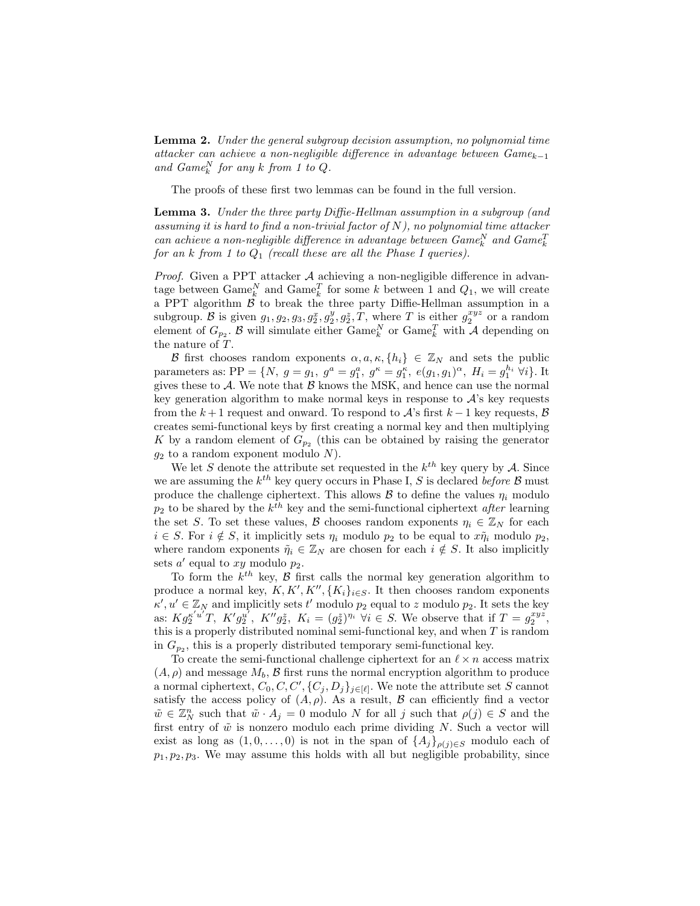Lemma 2. Under the general subgroup decision assumption, no polynomial time attacker can achieve a non-negligible difference in advantage between  $Game_{k-1}$ and  $Game_k^N$  for any k from 1 to Q.

The proofs of these first two lemmas can be found in the full version.

Lemma 3. Under the three party Diffie-Hellman assumption in a subgroup (and assuming it is hard to find a non-trivial factor of  $N$ ), no polynomial time attacker can achieve a non-negligible difference in advantage between  $Game_k^N$  and  $Game_k^T$ for an k from 1 to  $Q_1$  (recall these are all the Phase I queries).

*Proof.* Given a PPT attacker  $A$  achieving a non-negligible difference in advantage between  $\text{Game}_k^N$  and  $\text{Game}_k^T$  for some k between 1 and  $Q_1$ , we will create a PPT algorithm  $\beta$  to break the three party Diffie-Hellman assumption in a subgroup. B is given  $g_1, g_2, g_3, g_2^x, g_2^y, g_2^z, T$ , where T is either  $g_2^{xyz}$  or a random element of  $G_{p_2}$ . B will simulate either  $\text{Game}_k^N$  or  $\text{Game}_k^T$  with A depending on the nature of T.

B first chooses random exponents  $\alpha, a, \kappa, \{h_i\} \in \mathbb{Z}_N$  and sets the public parameters as: PP = {N,  $g = g_1, g^a = g_1^a, g^\kappa = g_1^{\kappa}, e(g_1, g_1)^{\alpha}, H_i = g_1^{h_i} \forall i$  }. It gives these to  $A$ . We note that  $B$  knows the MSK, and hence can use the normal key generation algorithm to make normal keys in response to  $\mathcal{A}$ 's key requests from the k + 1 request and onward. To respond to A's first k – 1 key requests,  $\beta$ creates semi-functional keys by first creating a normal key and then multiplying K by a random element of  $G_{p_2}$  (this can be obtained by raising the generator  $g_2$  to a random exponent modulo N).

We let S denote the attribute set requested in the  $k^{th}$  key query by A. Since we are assuming the  $k^{th}$  key query occurs in Phase I, S is declared before B must produce the challenge ciphertext. This allows  $\mathcal{B}$  to define the values  $\eta_i$  modulo  $p_2$  to be shared by the  $k^{th}$  key and the semi-functional ciphertext *after* learning the set S. To set these values, B chooses random exponents  $\eta_i \in \mathbb{Z}_N$  for each  $i \in S$ . For  $i \notin S$ , it implicitly sets  $\eta_i$  modulo  $p_2$  to be equal to  $x\tilde{\eta}_i$  modulo  $p_2$ , where random exponents  $\tilde{\eta}_i \in \mathbb{Z}_N$  are chosen for each  $i \notin S$ . It also implicitly sets  $a'$  equal to  $xy$  modulo  $p_2$ .

To form the  $k^{th}$  key,  $\beta$  first calls the normal key generation algorithm to produce a normal key,  $K, K', K'', \{K_i\}_{i \in S}$ . It then chooses random exponents  $\kappa', u' \in \mathbb{Z}_N$  and implicitly sets t' modulo  $p_2$  equal to z modulo  $p_2$ . It sets the key as:  $Kg_2^{k'u'}T$ ,  $K'g_2^{u'}$ ,  $K''g_2^z$ ,  $K_i = (g_2^z)^{\eta_i}$   $\forall i \in S$ . We observe that if  $T = g_2^{xyz}$ , this is a properly distributed nominal semi-functional key, and when  $T$  is random in  $G_{p_2}$ , this is a properly distributed temporary semi-functional key.

To create the semi-functional challenge ciphertext for an  $\ell \times n$  access matrix  $(A, \rho)$  and message  $M_b$ ,  $\beta$  first runs the normal encryption algorithm to produce a normal ciphertext,  $C_0, C, C', \{C_j, D_j\}_{j \in [\ell]}$ . We note the attribute set S cannot satisfy the access policy of  $(A, \rho)$ . As a result, B can efficiently find a vector  $\tilde{w} \in \mathbb{Z}_N^n$  such that  $\tilde{w} \cdot A_j = 0$  modulo N for all j such that  $\rho(j) \in S$  and the first entry of  $\tilde{w}$  is nonzero modulo each prime dividing N. Such a vector will exist as long as  $(1, 0, \ldots, 0)$  is not in the span of  $\{A_j\}_{\rho(j)\in S}$  modulo each of  $p_1, p_2, p_3$ . We may assume this holds with all but negligible probability, since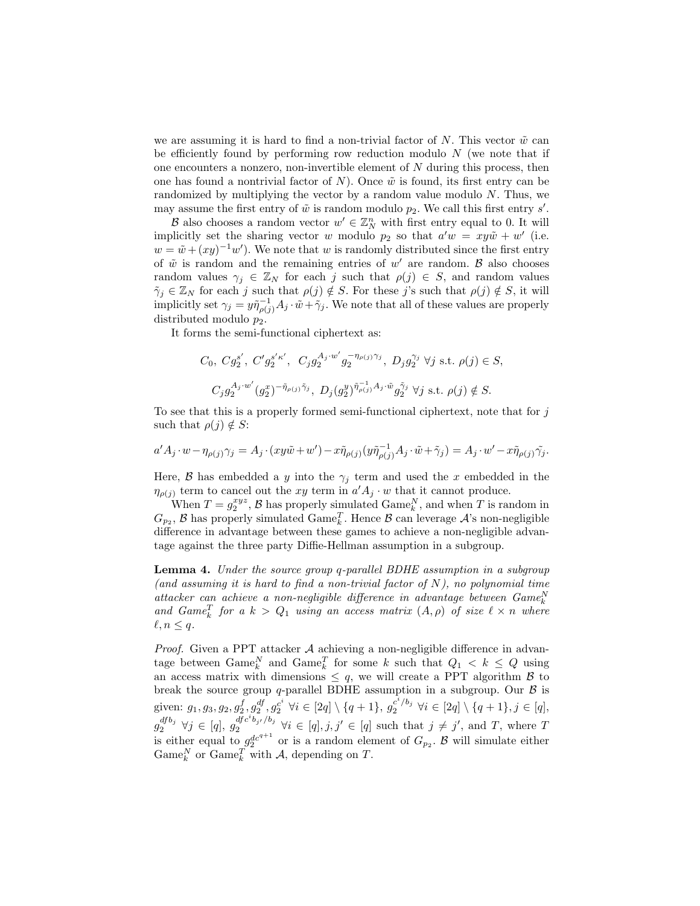we are assuming it is hard to find a non-trivial factor of N. This vector  $\tilde{w}$  can be efficiently found by performing row reduction modulo  $N$  (we note that if one encounters a nonzero, non-invertible element of  $N$  during this process, then one has found a nontrivial factor of N). Once  $\tilde{w}$  is found, its first entry can be randomized by multiplying the vector by a random value modulo  $N$ . Thus, we may assume the first entry of  $\tilde{w}$  is random modulo  $p_2$ . We call this first entry s'.

B also chooses a random vector  $w' \in \mathbb{Z}_N^n$  with first entry equal to 0. It will implicitly set the sharing vector w modulo  $p_2$  so that  $a'w = xy\tilde{w} + w'$  (i.e.  $w = \tilde{w} + (xy)^{-1}w'$ . We note that w is randomly distributed since the first entry of  $\tilde{w}$  is random and the remaining entries of  $w'$  are random.  $\beta$  also chooses random values  $\gamma_i \in \mathbb{Z}_N$  for each j such that  $\rho(j) \in S$ , and random values  $\tilde{\gamma}_j \in \mathbb{Z}_N$  for each j such that  $\rho(j) \notin S$ . For these j's such that  $\rho(j) \notin S$ , it will implicitly set  $\gamma_j = y \tilde{\eta}_{\rho(j)}^{-1} A_j \cdot \tilde{w} + \tilde{\gamma}_j$ . We note that all of these values are properly distributed modulo  $p_2$ .

It forms the semi-functional ciphertext as:

$$
C_0, Cg_2^{s'}, C'g_2^{s'\kappa'}, C_jg_2^{A_j \cdot w'}g_2^{-\eta_{\rho(j)}\gamma_j}, D_jg_2^{\gamma_j} \forall j \text{ s.t. } \rho(j) \in S,
$$
  

$$
C_jg_2^{A_j \cdot w'}(g_2^x)^{-\tilde{\eta}_{\rho(j)}\tilde{\gamma}_j}, D_j(g_2^y)^{\tilde{\eta}_{\rho(j)}^{-1}A_j \cdot \tilde{w}}g_2^{\tilde{\gamma}_j} \forall j \text{ s.t. } \rho(j) \notin S.
$$

To see that this is a properly formed semi-functional ciphertext, note that for  $j$ such that  $\rho(j) \notin S$ :

$$
a'A_j \cdot w - \eta_{\rho(j)}\gamma_j = A_j \cdot (xy\tilde{w} + w') - x\tilde{\eta}_{\rho(j)}(y\tilde{\eta}_{\rho(j)}^{-1}A_j \cdot \tilde{w} + \tilde{\gamma}_j) = A_j \cdot w' - x\tilde{\eta}_{\rho(j)}\tilde{\gamma}_j.
$$

Here,  $\beta$  has embedded a y into the  $\gamma_j$  term and used the x embedded in the  $\eta_{\rho(j)}$  term to cancel out the xy term in  $a'A_j \cdot w$  that it cannot produce.

When  $T = g_2^{xyz}$ ,  $\beta$  has properly simulated Game<sub>k</sub><sup>N</sup>, and when T is random in  $G_{p_2}$ ,  $B$  has properly simulated  $\text{Game}_k^T$ . Hence  $B$  can leverage  $\mathcal{A}$ 's non-negligible difference in advantage between these games to achieve a non-negligible advantage against the three party Diffie-Hellman assumption in a subgroup.

**Lemma 4.** Under the source group q-parallel BDHE assumption in a subgroup (and assuming it is hard to find a non-trivial factor of  $N$ ), no polynomial time attacker can achieve a non-negligible difference in advantage between  $Game_k^N$ and Game<sup>T</sup> for a  $k > Q_1$  using an access matrix  $(A, \rho)$  of size  $\ell \times n$  where  $\ell, n \leq q$ .

Proof. Given a PPT attacker A achieving a non-negligible difference in advantage between  $\text{Game}_k^N$  and  $\text{Game}_k^T$  for some k such that  $Q_1 < k \le Q$  using an access matrix with dimensions  $\leq q$ , we will create a PPT algorithm  $\beta$  to break the source group q-parallel BDHE assumption in a subgroup. Our  $\beta$  is given:  $g_1, g_3, g_2, g_2^f, g_2^{df}, g_2^{c^i} \ \forall i \in [2q] \setminus \{q+1\}, g_2^{c^i/b_j} \ \forall i \in [2q] \setminus \{q+1\}, j \in [q],$  $g_2^{dfb_j}$   $\forall j \in [q]$ ,  $g_2^{dfc^i b_{j'}/b_j}$   $\forall i \in [q]$ ,  $j, j' \in [q]$  such that  $j \neq j'$ , and T, where T is either equal to  $g_2^{d^{c^{q+1}}}$  or is a random element of  $G_{p_2}$ . B will simulate either Game<sub>k</sub> or Game<sub>k</sub> with A, depending on T.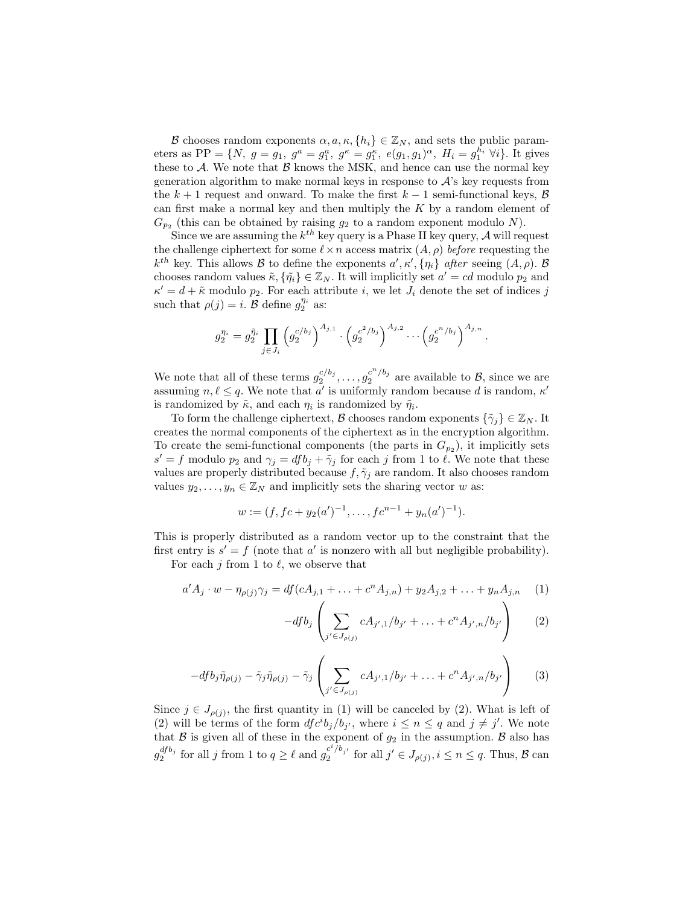B chooses random exponents  $\alpha, a, \kappa, \{h_i\} \in \mathbb{Z}_N$ , and sets the public parameters as PP = {N,  $g = g_1$ ,  $g^a = g_1^a$ ,  $g^{\kappa} = g_1^{\kappa}$ ,  $e(g_1, g_1)^{\alpha}$ ,  $H_i = g_1^{h_i} \forall i$ }. It gives these to  $A$ . We note that  $B$  knows the MSK, and hence can use the normal key generation algorithm to make normal keys in response to  $\mathcal{A}$ 's key requests from the  $k + 1$  request and onward. To make the first  $k - 1$  semi-functional keys,  $\beta$ can first make a normal key and then multiply the  $K$  by a random element of  $G_{p_2}$  (this can be obtained by raising  $g_2$  to a random exponent modulo N).

Since we are assuming the  $k^{th}$  key query is a Phase II key query,  $\mathcal A$  will request the challenge ciphertext for some  $\ell \times n$  access matrix  $(A, \rho)$  before requesting the  $k^{th}$  key. This allows  $\mathcal B$  to define the exponents  $a', \kappa', \{\eta_i\}$  after seeing  $(A, \rho)$ .  $\mathcal B$ chooses random values  $\tilde{\kappa}, \{\tilde{\eta}_i\} \in \mathbb{Z}_N$ . It will implicitly set  $a' = cd$  modulo  $p_2$  and  $\kappa' = d + \tilde{\kappa}$  modulo  $p_2$ . For each attribute *i*, we let  $J_i$  denote the set of indices *j* such that  $\rho(j) = i$ . B define  $g_2^{\eta_i}$  as:

$$
g_2^{n_i} = g_2^{\tilde{n}_i} \prod_{j \in J_i} \left( g_2^{c/b_j} \right)^{A_{j,1}} \cdot \left( g_2^{c^2/b_j} \right)^{A_{j,2}} \cdots \left( g_2^{c^n/b_j} \right)^{A_{j,n}}.
$$

We note that all of these terms  $g_2^{c/b_j}, \ldots, g_2^{c^n/b_j}$  are available to  $\mathcal{B}$ , since we are assuming  $n, \ell \leq q$ . We note that a' is uniformly random because d is random,  $\kappa'$ is randomized by  $\tilde{\kappa}$ , and each  $\eta_i$  is randomized by  $\tilde{\eta}_i$ .

To form the challenge ciphertext, B chooses random exponents  $\{\tilde{\gamma}_i\} \in \mathbb{Z}_N$ . It creates the normal components of the ciphertext as in the encryption algorithm. To create the semi-functional components (the parts in  $G_{p_2}$ ), it implicitly sets  $s' = f$  modulo  $p_2$  and  $\gamma_j = df b_j + \tilde{\gamma}_j$  for each j from 1 to  $l$ . We note that these values are properly distributed because  $f, \tilde{\gamma}_i$  are random. It also chooses random values  $y_2, \ldots, y_n \in \mathbb{Z}_N$  and implicitly sets the sharing vector w as:

$$
w := (f, fc + y2(a')-1,..., fcn-1 + yn(a')-1).
$$

This is properly distributed as a random vector up to the constraint that the first entry is  $s' = f$  (note that  $a'$  is nonzero with all but negligible probability).

For each  $j$  from 1 to  $\ell$ , we observe that

$$
a'A_j \cdot w - \eta_{\rho(j)}\gamma_j = df(cA_{j,1} + \ldots + c^n A_{j,n}) + y_2 A_{j,2} + \ldots + y_n A_{j,n} \tag{1}
$$

$$
-dfb_{j}\left(\sum_{j'\in J_{\rho(j)}}cA_{j',1}/b_{j'} + \ldots + c^{n}A_{j',n}/b_{j'}\right) (2)
$$

$$
-dfb_j\tilde{\eta}_{\rho(j)} - \tilde{\gamma}_j\tilde{\eta}_{\rho(j)} - \tilde{\gamma}_j\left(\sum_{j' \in J_{\rho(j)}} cA_{j',1}/b_{j'} + \ldots + c^n A_{j',n}/b_{j'}\right) \qquad (3)
$$

Since  $j \in J_{\rho(j)}$ , the first quantity in (1) will be canceled by (2). What is left of (2) will be terms of the form  $df c^i b_j / b_{j'}$ , where  $i \leq n \leq q$  and  $j \neq j'$ . We note that  $\beta$  is given all of these in the exponent of  $g_2$  in the assumption.  $\beta$  also has  $g_2^{dfb_j}$  for all j from 1 to  $q \ge \ell$  and  $g_2^{c^i/b_{j'}}$  for all  $j' \in J_{\rho(j)}, i \le n \le q$ . Thus,  $\mathcal B$  can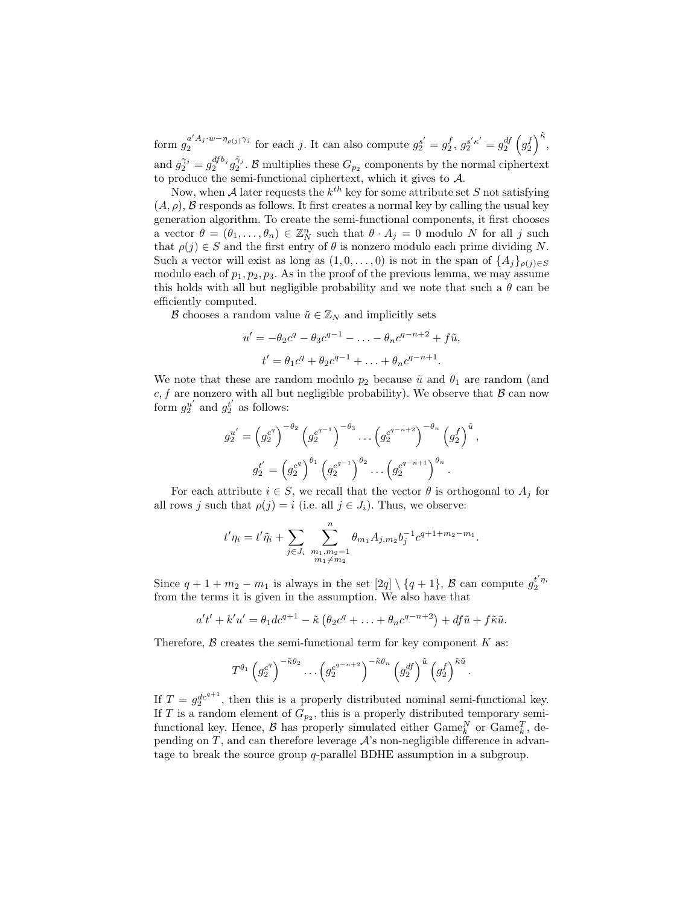form  $g_2^{a'A_j \cdot w - \eta_{\rho(j)}\gamma_j}$  for each j. It can also compute  $g_2^{s'} = g_2^f$ ,  $g_2^{s'\kappa'} = g_2^{df} (g_2^f)^{\tilde{\kappa}}$ , and  $g_2^{\gamma_j} = g_2^{dfb_j} g_2^{\gamma_j}$ . B multiplies these  $G_{p_2}$  components by the normal ciphertext to produce the semi-functional ciphertext, which it gives to A.

Now, when A later requests the  $k^{th}$  key for some attribute set S not satisfying  $(A, \rho)$ , B responds as follows. It first creates a normal key by calling the usual key generation algorithm. To create the semi-functional components, it first chooses a vector  $\theta = (\theta_1, \ldots, \theta_n) \in \mathbb{Z}_N^n$  such that  $\theta \cdot A_j = 0$  modulo N for all j such that  $\rho(j) \in S$  and the first entry of  $\theta$  is nonzero modulo each prime dividing N. Such a vector will exist as long as  $(1, 0, \ldots, 0)$  is not in the span of  $\{A_j\}_{\rho(j)\in S}$ modulo each of  $p_1, p_2, p_3$ . As in the proof of the previous lemma, we may assume this holds with all but negligible probability and we note that such a  $\theta$  can be efficiently computed.

B chooses a random value  $\tilde{u} \in \mathbb{Z}_N$  and implicitly sets

$$
u' = -\theta_2 c^q - \theta_3 c^{q-1} - \dots - \theta_n c^{q-n+2} + f\tilde{u},
$$
  

$$
t' = \theta_1 c^q + \theta_2 c^{q-1} + \dots + \theta_n c^{q-n+1}.
$$

We note that these are random modulo  $p_2$  because  $\tilde{u}$  and  $\theta_1$  are random (and  $c, f$  are nonzero with all but negligible probability). We observe that  $\beta$  can now form  $g_2^{u'}$  and  $g_2^{t'}$  as follows:

$$
g_2^{u'} = (g_2^{c^q})^{-\theta_2} (g_2^{c^{q-1}})^{-\theta_3} \dots (g_2^{c^{q-n+2}})^{-\theta_n} (g_2^f)^{\tilde{u}},
$$
  

$$
g_2^{t'} = (g_2^{c^q})^{\theta_1} (g_2^{c^{q-1}})^{\theta_2} \dots (g_2^{c^{q-n+1}})^{\theta_n}.
$$

For each attribute  $i \in S$ , we recall that the vector  $\theta$  is orthogonal to  $A_j$  for all rows j such that  $\rho(j) = i$  (i.e. all  $j \in J_i$ ). Thus, we observe:

$$
t'\eta_i = t'\tilde{\eta}_i + \sum_{j \in J_i} \sum_{\substack{m_1, m_2 = 1 \\ m_1 \neq m_2}}^n \theta_{m_1} A_{j, m_2} b_j^{-1} c^{q+1+m_2-m_1}.
$$

Since  $q + 1 + m_2 - m_1$  is always in the set  $[2q] \setminus \{q + 1\}$ ,  $\mathcal{B}$  can compute  $g_2^{t'n_i}$ from the terms it is given in the assumption. We also have that

$$
a't' + k'u' = \theta_1 d c^{q+1} - \tilde{\kappa} \left( \theta_2 c^q + \ldots + \theta_n c^{q-n+2} \right) + d f \tilde{u} + f \tilde{\kappa} \tilde{u}.
$$

Therefore,  $\beta$  creates the semi-functional term for key component  $K$  as:

$$
T^{\theta_1}\left(g_2^{c^q}\right)^{-\tilde\kappa\theta_2}\dots\left(g_2^{c^{q-n+2}}\right)^{-\tilde\kappa\theta_n}\left(g_2^{df}\right)^{\tilde u}\left(g_2^f\right)^{\tilde\kappa\tilde u}.
$$

If  $T = g_2^{dc^{q+1}}$ , then this is a properly distributed nominal semi-functional key. If T is a random element of  $G_{p_2}$ , this is a properly distributed temporary semifunctional key. Hence,  $\mathcal{B}$  has properly simulated either  $\text{Game}_k^N$  or  $\text{Game}_k^T$ , depending on  $T$ , and can therefore leverage  $A$ 's non-negligible difference in advantage to break the source group q-parallel BDHE assumption in a subgroup.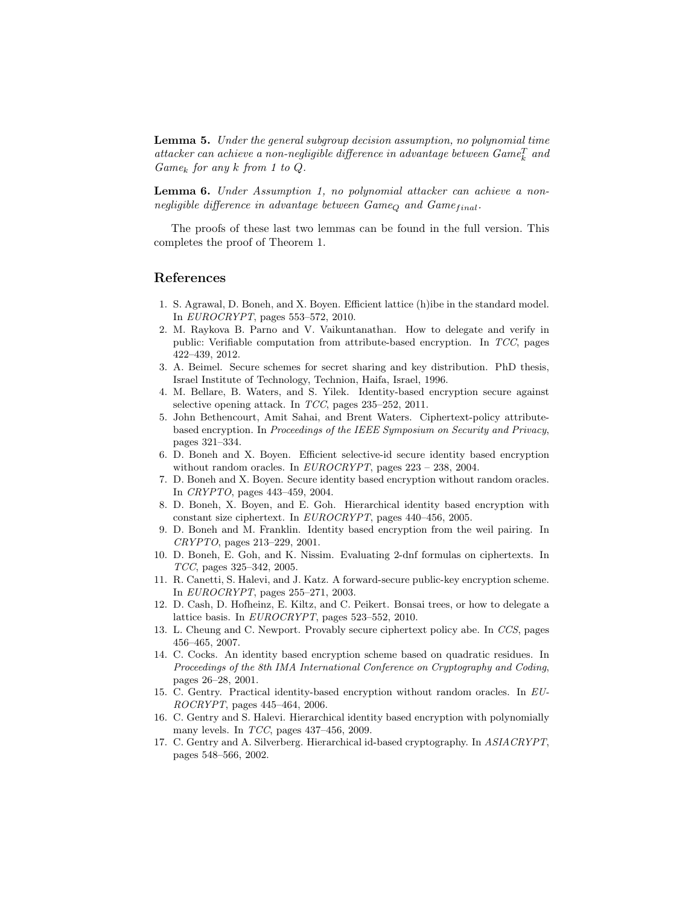Lemma 5. Under the general subgroup decision assumption, no polynomial time attacker can achieve a non-negligible difference in advantage between  $Game_k^T$  and  $Game_k$  for any k from 1 to  $Q$ .

Lemma 6. Under Assumption 1, no polynomial attacker can achieve a nonnegligible difference in advantage between  $Game_Q$  and  $Game_{final}$ .

The proofs of these last two lemmas can be found in the full version. This completes the proof of Theorem 1.

## References

- 1. S. Agrawal, D. Boneh, and X. Boyen. Efficient lattice (h)ibe in the standard model. In EUROCRYPT, pages 553–572, 2010.
- 2. M. Raykova B. Parno and V. Vaikuntanathan. How to delegate and verify in public: Verifiable computation from attribute-based encryption. In TCC, pages 422–439, 2012.
- 3. A. Beimel. Secure schemes for secret sharing and key distribution. PhD thesis, Israel Institute of Technology, Technion, Haifa, Israel, 1996.
- 4. M. Bellare, B. Waters, and S. Yilek. Identity-based encryption secure against selective opening attack. In TCC, pages 235–252, 2011.
- 5. John Bethencourt, Amit Sahai, and Brent Waters. Ciphertext-policy attributebased encryption. In Proceedings of the IEEE Symposium on Security and Privacy, pages 321–334.
- 6. D. Boneh and X. Boyen. Efficient selective-id secure identity based encryption without random oracles. In *EUROCRYPT*, pages  $223 - 238$ , 2004.
- 7. D. Boneh and X. Boyen. Secure identity based encryption without random oracles. In CRYPTO, pages 443–459, 2004.
- 8. D. Boneh, X. Boyen, and E. Goh. Hierarchical identity based encryption with constant size ciphertext. In EUROCRYPT, pages 440–456, 2005.
- 9. D. Boneh and M. Franklin. Identity based encryption from the weil pairing. In CRYPTO, pages 213–229, 2001.
- 10. D. Boneh, E. Goh, and K. Nissim. Evaluating 2-dnf formulas on ciphertexts. In TCC, pages 325–342, 2005.
- 11. R. Canetti, S. Halevi, and J. Katz. A forward-secure public-key encryption scheme. In EUROCRYPT, pages 255–271, 2003.
- 12. D. Cash, D. Hofheinz, E. Kiltz, and C. Peikert. Bonsai trees, or how to delegate a lattice basis. In EUROCRYPT, pages 523–552, 2010.
- 13. L. Cheung and C. Newport. Provably secure ciphertext policy abe. In CCS, pages 456–465, 2007.
- 14. C. Cocks. An identity based encryption scheme based on quadratic residues. In Proceedings of the 8th IMA International Conference on Cryptography and Coding, pages 26–28, 2001.
- 15. C. Gentry. Practical identity-based encryption without random oracles. In EU-ROCRYPT, pages 445–464, 2006.
- 16. C. Gentry and S. Halevi. Hierarchical identity based encryption with polynomially many levels. In TCC, pages 437–456, 2009.
- 17. C. Gentry and A. Silverberg. Hierarchical id-based cryptography. In ASIACRYPT, pages 548–566, 2002.